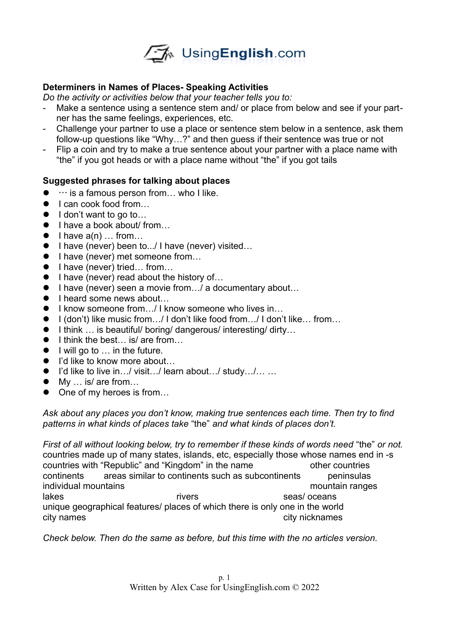

## **Determiners in Names of Places- Speaking Activities**

*Do the activity or activities below that your teacher tells you to:*

- Make a sentence using a sentence stem and/ or place from below and see if your partner has the same feelings, experiences, etc.
- Challenge your partner to use a place or sentence stem below in a sentence, ask them follow-up questions like "Why…?" and then guess if their sentence was true or not
- Flip a coin and try to make a true sentence about your partner with a place name with "the" if you got heads or with a place name without "the" if you got tails

## **Suggested phrases for talking about places**

- $\bullet$   $\cdots$  is a famous person from... who I like.
- I can cook food from...
- $\bullet$  I don't want to go to...
- I have a book about/ from...
- $\bullet$  I have  $a(n)$  ... from...
- I have (never) been to.../ I have (never) visited...
- I have (never) met someone from...
- $\bullet$  I have (never) tried... from...
- I have (never) read about the history of...
- I have (never) seen a movie from ... / a documentary about...
- $\bullet$  I heard some news about...
- I know someone from.../ I know someone who lives in...
- I (don't) like music from.../ I don't like food from.../ I don't like... from...
- I think ... is beautiful/ boring/ dangerous/ interesting/ dirty...
- $\bullet$  I think the best... is/ are from...
- $\bullet$  I will go to  $\ldots$  in the future.
- I'd like to know more about...
- I'd like to live in…/ visit…/ learn about…/ study…/… …
- My ... is/ are from...
- One of my heroes is from...

*Ask about any places you don't know, making true sentences each time. Then try to find patterns in what kinds of places take* "the" *and what kinds of places don't.*

*First of all without looking below, try to remember if these kinds of words need* "the" *or not.* countries made up of many states, islands, etc, especially those whose names end in -s countries with "Republic" and "Kingdom" in the name other countries continents areas similar to continents such as subcontinents peninsulas individual mountains mountain ranges lakes in the rivers in the seas/ oceans and the seas oceans in the seas oceans in the seas oceans in the seas o unique geographical features/ places of which there is only one in the world city names city names city nicknames city nicknames

*Check below. Then do the same as before, but this time with the no articles version.*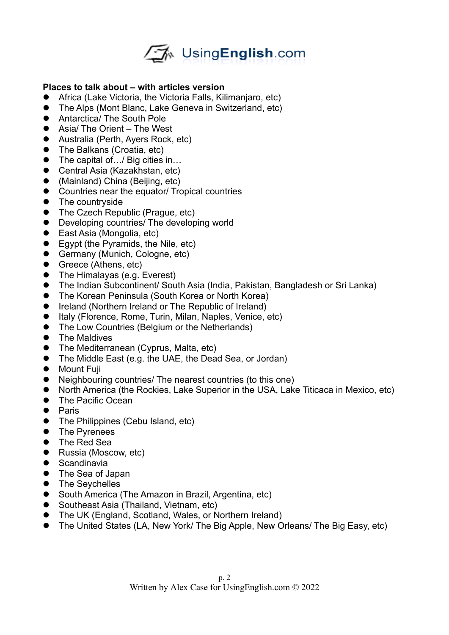

## **Places to talk about – with articles version**

- Africa (Lake Victoria, the Victoria Falls, Kilimanjaro, etc)
- The Alps (Mont Blanc, Lake Geneva in Switzerland, etc)
- Antarctica/ The South Pole
- Asia/ The Orient The West
- Australia (Perth, Ayers Rock, etc)
- The Balkans (Croatia, etc)
- The capital of.../ Big cities in...
- Central Asia (Kazakhstan, etc)
- (Mainland) China (Beijing, etc)
- Countries near the equator/ Tropical countries
- The countryside
- The Czech Republic (Prague, etc)
- Developing countries/ The developing world
- East Asia (Mongolia, etc)
- Egypt (the Pyramids, the Nile, etc)
- Germany (Munich, Cologne, etc)
- Greece (Athens, etc)
- The Himalayas (e.g. Everest)
- The Indian Subcontinent/ South Asia (India, Pakistan, Bangladesh or Sri Lanka)
- The Korean Peninsula (South Korea or North Korea)
- Ireland (Northern Ireland or The Republic of Ireland)
- Italy (Florence, Rome, Turin, Milan, Naples, Venice, etc)
- The Low Countries (Belgium or the Netherlands)
- The Maldives
- The Mediterranean (Cyprus, Malta, etc)
- The Middle East (e.g. the UAE, the Dead Sea, or Jordan)
- **•** Mount Fuil
- Neighbouring countries/ The nearest countries (to this one)
- North America (the Rockies, Lake Superior in the USA, Lake Titicaca in Mexico, etc)
- The Pacific Ocean
- **•** Paris
- The Philippines (Cebu Island, etc)
- **•** The Pyrenees
- **•** The Red Sea
- Russia (Moscow, etc)
- **•** Scandinavia
- The Sea of Japan
- The Seychelles
- South America (The Amazon in Brazil, Argentina, etc)
- Southeast Asia (Thailand, Vietnam, etc)
- The UK (England, Scotland, Wales, or Northern Ireland)
- The United States (LA, New York/ The Big Apple, New Orleans/ The Big Easy, etc)